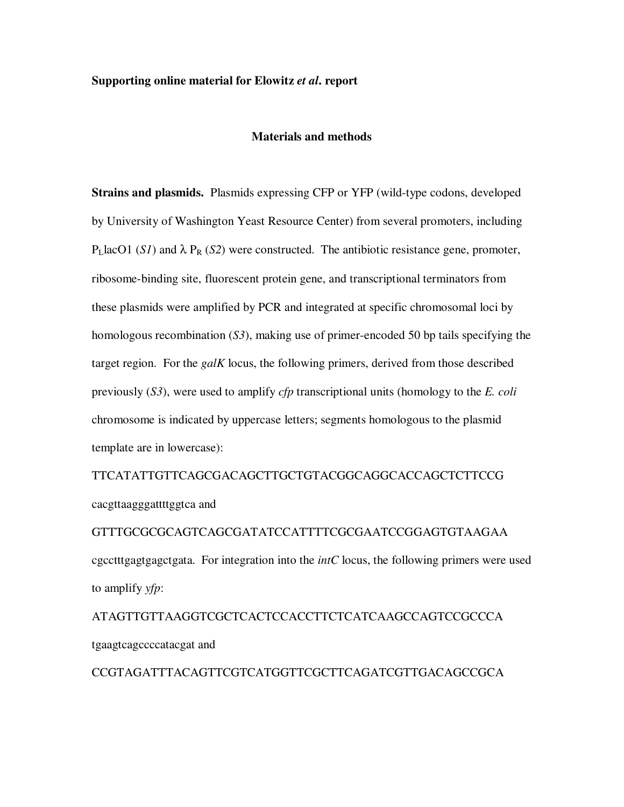## **Supporting online material for Elowitz** *et al***. report**

## **Materials and methods**

**Strains and plasmids.** Plasmids expressing CFP or YFP (wild-type codons, developed by University of Washington Yeast Resource Center) from several promoters, including  $P<sub>L</sub>$ lacO1 (*S1*) and  $\lambda P<sub>R</sub>$  (*S2*) were constructed. The antibiotic resistance gene, promoter, ribosome-binding site, fluorescent protein gene, and transcriptional terminators from these plasmids were amplified by PCR and integrated at specific chromosomal loci by homologous recombination (*S3*), making use of primer-encoded 50 bp tails specifying the target region. For the *galK* locus, the following primers, derived from those described previously (*S3*), were used to amplify *cfp* transcriptional units (homology to the *E. coli* chromosome is indicated by uppercase letters; segments homologous to the plasmid template are in lowercase):

TTCATATTGTTCAGCGACAGCTTGCTGTACGGCAGGCACCAGCTCTTCCG cacgttaagggattttggtca and

GTTTGCGCGCAGTCAGCGATATCCATTTTCGCGAATCCGGAGTGTAAGAA cgcctttgagtgagctgata. For integration into the *intC* locus, the following primers were used to amplify *yfp*:

ATAGTTGTTAAGGTCGCTCACTCCACCTTCTCATCAAGCCAGTCCGCCCA tgaagtcagccccatacgat and

CCGTAGATTTACAGTTCGTCATGGTTCGCTTCAGATCGTTGACAGCCGCA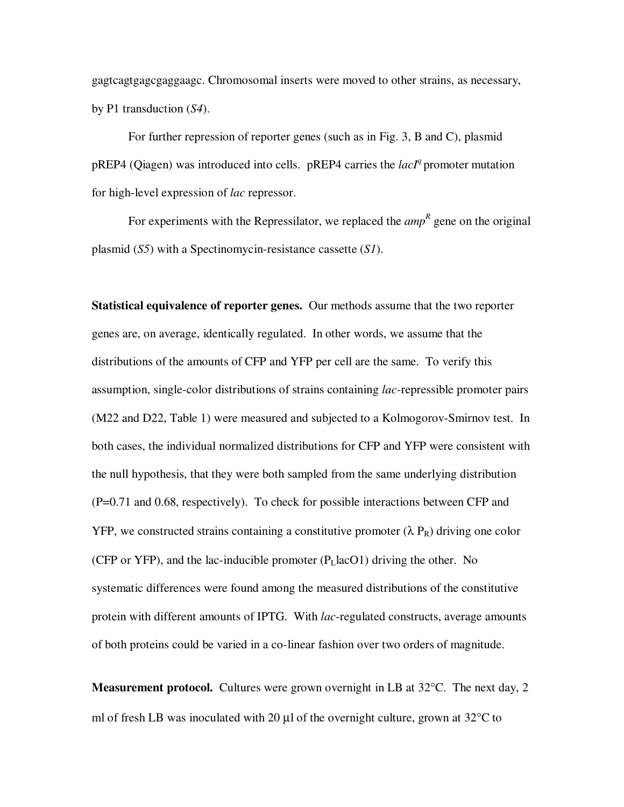gagtcagtgagcgaggaagc. Chromosomal inserts were moved to other strains, as necessary, by P1 transduction (*S4*).

For further repression of reporter genes (such as in Fig. 3, B and C), plasmid pREP4 (Qiagen) was introduced into cells. pREP4 carries the *lacI<sup>q</sup>* promoter mutation for high-level expression of *lac* repressor.

For experiments with the Repressilator, we replaced the *amp*<sup>R</sup> gene on the original plasmid (*S5*) with a Spectinomycin-resistance cassette (*S1*).

**Statistical equivalence of reporter genes.** Our methods assume that the two reporter genes are, on average, identically regulated. In other words, we assume that the distributions of the amounts of CFP and YFP per cell are the same. To verify this assumption, single-color distributions of strains containing *lac*-repressible promoter pairs (M22 and D22, Table 1) were measured and subjected to a Kolmogorov-Smirnov test. In both cases, the individual normalized distributions for CFP and YFP were consistent with the null hypothesis, that they were both sampled from the same underlying distribution (P=0.71 and 0.68, respectively). To check for possible interactions between CFP and YFP, we constructed strains containing a constitutive promoter  $(\lambda P_R)$  driving one color (CFP or YFP), and the lac-inducible promoter  $(P<sub>L</sub>$ lacO1) driving the other. No systematic differences were found among the measured distributions of the constitutive protein with different amounts of IPTG. With *lac*-regulated constructs, average amounts of both proteins could be varied in a co-linear fashion over two orders of magnitude.

**Measurement protocol.** Cultures were grown overnight in LB at 32°C. The next day, 2 ml of fresh LB was inoculated with 20  $\mu$ l of the overnight culture, grown at 32 $\degree$ C to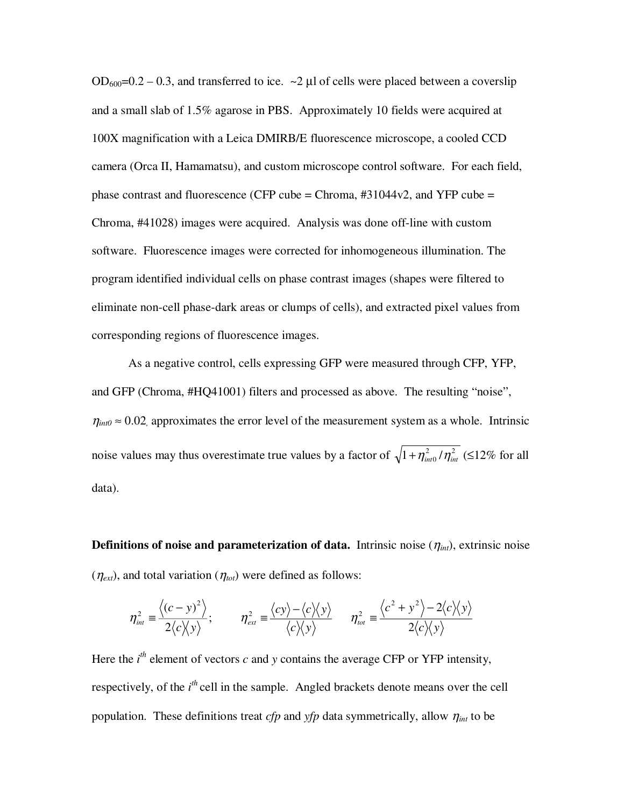$OD_{600}=0.2-0.3$ , and transferred to ice.  $\sim$  2 µl of cells were placed between a coverslip and a small slab of 1.5% agarose in PBS. Approximately 10 fields were acquired at 100X magnification with a Leica DMIRB/E fluorescence microscope, a cooled CCD camera (Orca II, Hamamatsu), and custom microscope control software. For each field, phase contrast and fluorescence (CFP cube = Chroma,  $\#31044v2$ , and YFP cube = Chroma, #41028) images were acquired. Analysis was done off-line with custom software. Fluorescence images were corrected for inhomogeneous illumination. The program identified individual cells on phase contrast images (shapes were filtered to eliminate non-cell phase-dark areas or clumps of cells), and extracted pixel values from corresponding regions of fluorescence images.

As a negative control, cells expressing GFP were measured through CFP, YFP, and GFP (Chroma, #HQ41001) filters and processed as above. The resulting "noise",  $\eta_{\text{int0}} \approx 0.02$  approximates the error level of the measurement system as a whole. Intrinsic noise values may thus overestimate true values by a factor of  $\sqrt{1 + \eta_{\text{int}}^2} / \eta_{\text{int}}^2$  (≤12% for all data).

**Definitions of noise and parameterization of data.** Intrinsic noise  $(\eta_{int})$ , extrinsic noise  $(\eta_{ext})$ , and total variation  $(\eta_{tot})$  were defined as follows:

$$
\eta_{\scriptscriptstyle int}^2 \equiv \frac{\langle (c-y)^2 \rangle}{2 \langle c \rangle \langle y \rangle}; \qquad \eta_{\scriptscriptstyle ext}^2 \equiv \frac{\langle cy \rangle - \langle c \rangle \langle y \rangle}{\langle c \rangle \langle y \rangle} \qquad \eta_{\scriptscriptstyle tot}^2 \equiv \frac{\langle c^2 + y^2 \rangle - 2 \langle c \rangle \langle y \rangle}{2 \langle c \rangle \langle y \rangle}
$$

Here the  $i^{th}$  element of vectors  $c$  and  $y$  contains the average CFP or YFP intensity, respectively, of the *i*<sup>th</sup> cell in the sample. Angled brackets denote means over the cell population. These definitions treat *cfp* and *yfp* data symmetrically, allow  $\eta_{int}$  to be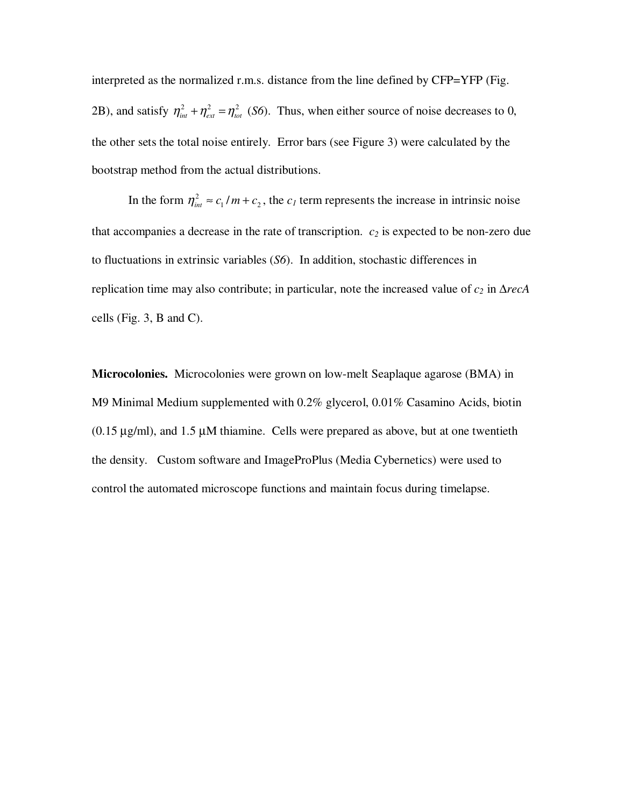interpreted as the normalized r.m.s. distance from the line defined by CFP=YFP (Fig. 2B), and satisfy  $\eta_{int}^2 + \eta_{ext}^2 = \eta_{tot}^2$  (*S6*). Thus, when either source of noise decreases to 0, the other sets the total noise entirely. Error bars (see Figure 3) were calculated by the bootstrap method from the actual distributions.

In the form  $\eta_{int}^2 \approx c_1/m + c_2$ , the  $c_1$  term represents the increase in intrinsic noise that accompanies a decrease in the rate of transcription.  $c_2$  is expected to be non-zero due to fluctuations in extrinsic variables (*S6*). In addition, stochastic differences in replication time may also contribute; in particular, note the increased value of *c2* in ∆*recA* cells (Fig. 3, B and C).

**Microcolonies.** Microcolonies were grown on low-melt Seaplaque agarose (BMA) in M9 Minimal Medium supplemented with 0.2% glycerol, 0.01% Casamino Acids, biotin  $(0.15 \,\mu\text{g/ml})$ , and  $1.5 \,\mu\text{M}$  thiamine. Cells were prepared as above, but at one twentieth the density. Custom software and ImageProPlus (Media Cybernetics) were used to control the automated microscope functions and maintain focus during timelapse.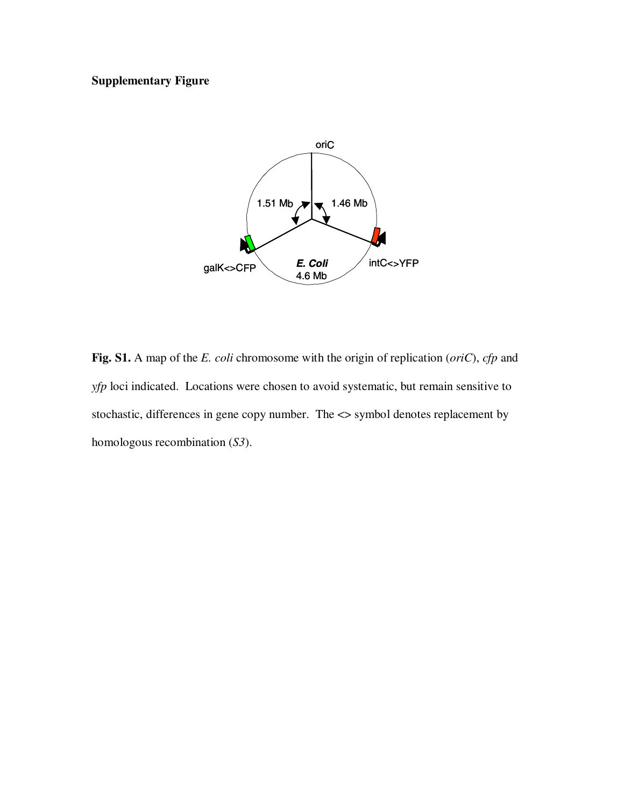## **Supplementary Figure**



Fig. S1. A map of the *E. coli* chromosome with the origin of replication (*oriC*), *cfp* and *yfp* loci indicated. Locations were chosen to avoid systematic, but remain sensitive to stochastic, differences in gene copy number. The <> symbol denotes replacement by homologous recombination (*S3*).